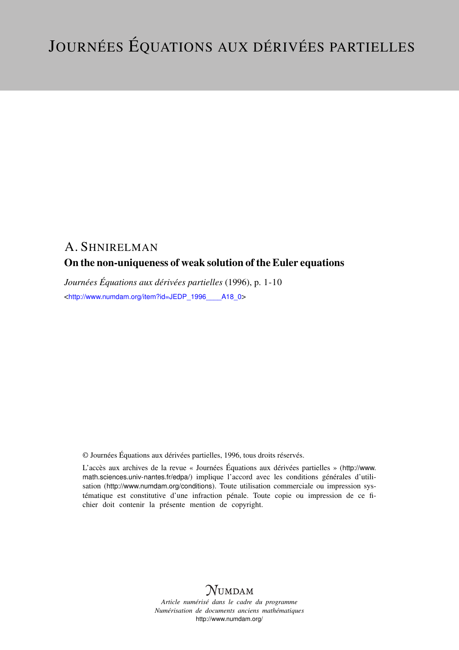# A. SHNIRELMAN On the non-uniqueness of weak solution of the Euler equations

*Journées Équations aux dérivées partielles* (1996), p. 1-10 <[http://www.numdam.org/item?id=JEDP\\_1996\\_\\_\\_\\_A18\\_0](http://www.numdam.org/item?id=JEDP_1996____A18_0)>

© Journées Équations aux dérivées partielles, 1996, tous droits réservés.

L'accès aux archives de la revue « Journées Équations aux dérivées partielles » ([http://www.](http://www.math.sciences.univ-nantes.fr/edpa/) [math.sciences.univ-nantes.fr/edpa/](http://www.math.sciences.univ-nantes.fr/edpa/)) implique l'accord avec les conditions générales d'utilisation (<http://www.numdam.org/conditions>). Toute utilisation commerciale ou impression systématique est constitutive d'une infraction pénale. Toute copie ou impression de ce fichier doit contenir la présente mention de copyright.



*Article numérisé dans le cadre du programme Numérisation de documents anciens mathématiques* <http://www.numdam.org/>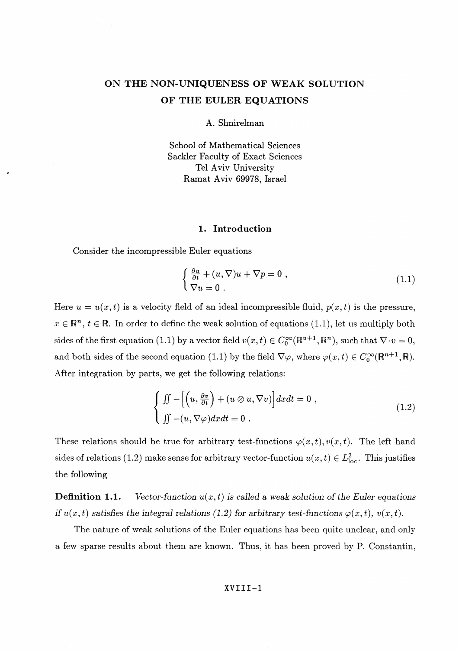## **ON THE** NON-UNIQUENESS **OF WEAK SOLUTION OF THE EULER EQUATIONS**

A. Shnirelman

School of Mathematical Sciences Sackler Faculty of Exact Sciences Tel Aviv University Ramat Aviv 69978, Israel

#### **1. Introduction**

Consider the incompressible Euler equations

$$
\begin{cases} \frac{\partial u}{\partial t} + (u, \nabla)u + \nabla p = 0, \\ \nabla u = 0. \end{cases}
$$
 (1.1)

Here  $u = u(x,t)$  is a velocity field of an ideal incompressible fluid,  $p(x,t)$  is the pressure,  $x \in \mathbb{R}^n$ ,  $t \in \mathbb{R}$ . In order to define the weak solution of equations (1.1), let us multiply both sides of the first equation (1.1) by a vector field  $v(x,t) \in C_0^{\infty}(\mathbb{R}^{u+1}, \mathbb{R}^n)$ , such that  $\nabla \cdot v = 0$ and both sides of the second equation (1.1) by the field  $\nabla \varphi$ , where  $\varphi(x,t) \in C_0^{\infty}(\mathbb{R}^{n+1},\mathbb{R})$ . After integration by parts, we get the following relations:

$$
\begin{cases}\n\iint -\left[\left(u, \frac{\partial v}{\partial t}\right) + (u \otimes u, \nabla v)\right] dx dt = 0, \\
\iint -(u, \nabla \varphi) dx dt = 0.\n\end{cases}
$$
\n(1.2)

These relations should be true for arbitrary test-functions  $\varphi(x,t)$ ,  $v(x,t)$ . The left hand sides of relations (1.2) make sense for arbitrary vector-function  $u(x,t) \in L^2_{loc}$ . This justifies the following

**Definition 1.1.** *Vector-function*  $u(x,t)$  *is called a weak solution of the Euler equations if*  $u(x,t)$  satisfies the integral relations (1.2) for arbitrary test-functions  $\varphi(x,t)$ ,  $v(x,t)$ .

The nature of weak solutions of the Euler equations has been quite unclear, and only a few sparse results about them are known. Thus, it has been proved by P. Constantin,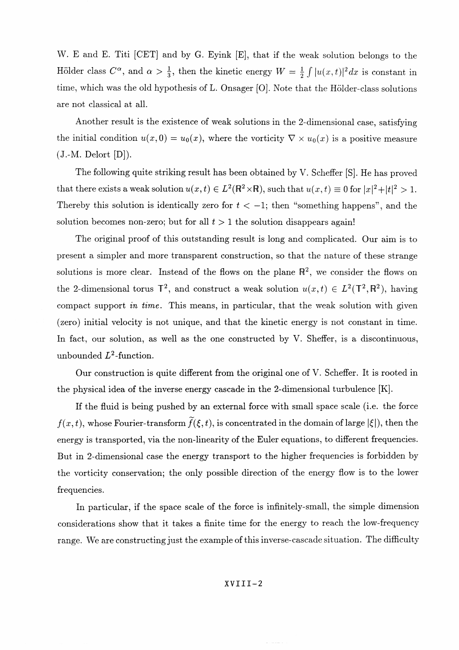W. E and E. Titi [GET] and by G. Eyink [E], that if the weak solution belongs to the Hölder class  $C^{\alpha}$ , and  $\alpha > \frac{1}{3}$ , then the kinetic energy  $W = \frac{1}{2} \int |u(x,t)|^2 dx$  is constant in time, which was the old hypothesis of L. Onsager [0]. Note that the Holder-class solutions are not classical at all.

Another result is the existence of weak solutions in the 2-dimensional case, satisfying the initial condition  $u(x,0) = u_0(x)$ , where the vorticity  $\nabla \times u_0(x)$  is a positive measure  $(J.-M.$  Delort  $[D])$ .

The following quite striking result has been obtained by V. Scheffer [S]. He has proved that there exists a weak solution  $u(x,t) \in L^2(\mathbb{R}^2 \times \mathbb{R})$ , such that  $u(x,t) \equiv 0$  for  $|x|^2 + |t|^2 > 1$ . Thereby this solution is identically zero for  $t < -1$ ; then "something happens", and the solution becomes non-zero; but for all  $t > 1$  the solution disappears again!

The original proof of this outstanding result is long and complicated. Our aim is to present a simpler and more transparent construction, so that the nature of these strange solutions is more clear. Instead of the flows on the plane  $\mathbb{R}^2$ , we consider the flows on the 2-dimensional torus  $\mathbb{T}^2$ , and construct a weak solution  $u(x,t) \in L^2(\mathbb{T}^2, \mathbb{R}^2)$ , having compact support *in time.* This means, in particular, that the weak solution with given (zero) initial velocity is not unique, and that the kinetic energy is not constant in time. In fact, our solution, as well as the one constructed by V. Sheffer, is a discontinuous, unbounded  $L^2$ -function.

Our construction is quite different from the original one of V. Scheffer. It is rooted in the physical idea of the inverse energy cascade in the 2-dimensional turbulence [K].

If the fluid is being pushed by an external force with small space scale (i.e. the force  $f(x,t)$ , whose Fourier-transform  $\tilde{f}(\xi,t)$ , is concentrated in the domain of large  $|\xi|$ ), then the energy is transported, via the non-linearity of the Euler equations, to different frequencies. But in 2-dimensional case the energy transport to the higher frequencies is forbidden by the vorticity conservation; the only possible direction of the energy flow is to the lower frequencies.

In particular, if the space scale of the force is infinitely-small, the simple dimension considerations show that it takes a finite time for the energy to reach the low-frequency range. We are constructing just the example of this inverse-cascade situation. The difficulty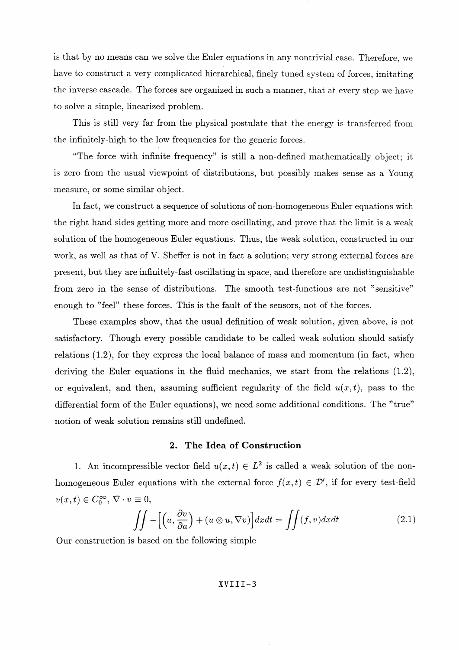is that by no means can we solve the Euler equations in any nontrivial case. Therefore, we have to construct a very complicated hierarchical, finely tuned system of forces, imitating the inverse cascade. The forces are organized in such a manner, that at every step we have to solve a simple, linearized problem.

This is still very far from the physical postulate that the energy is transferred from the infinitely-high to the low frequencies for the generic forces.

"The force with infinite frequency" is still a non-defined mathematically object; it is zero from the usual viewpoint of distributions, but possibly makes sense as a Young measure, or some similar object.

In fact, we construct a sequence of solutions of non-homogeneous Euler equations with the right hand sides getting more and more oscillating, and prove that the limit is a weak solution of the homogeneous Euler equations. Thus, the weak solution, constructed in our work, as well as that of V. Sheffer is not in fact a solution; very strong external forces are present, but they are infinitely-fast oscillating in space, and therefore are undistinguishable from zero in the sense of distributions. The smooth test-functions are not "sensitive" enough to "feel" these forces. This is the fault of the sensors, not of the forces.

These examples show, that the usual definition of weak solution, given above, is not satisfactory. Though every possible candidate to be called weak solution should satisfy relations (1.2), for they express the local balance of mass and momentum (in fact, when deriving the Euler equations in the fluid mechanics, we start from the relations (1.2), or equivalent, and then, assuming sufficient regularity of the field  $u(x,t)$ , pass to the differential form of the Euler equations), we need some additional conditions. The "true" notion of weak solution remains still undefined.

## **2. The Idea of Construction**

1. An incompressible vector field  $u(x,t) \in L^2$  is called a weak solution of the nonhomogeneous Euler equations with the external force  $f(x,t) \in \mathcal{D}'$ , if for every test-field  $v(x,t) \in C_0^{\infty}, \, \nabla \cdot v \equiv 0,$ 

$$
\iint - \left[ \left( u, \frac{\partial v}{\partial a} \right) + \left( u \otimes u, \nabla v \right) \right] dx dt = \iint (f, v) dx dt \tag{2.1}
$$

Our construction is based on the following simple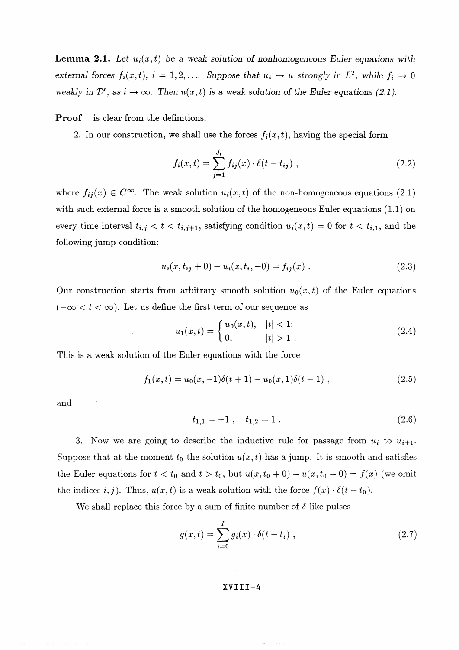**Lemma 2.1.** Let  $u_i(x,t)$  be a weak solution of nonhomogeneous Euler equations with *external forces*  $f_i(x,t)$ *, i* = 1,2,.... *Suppose that*  $u_i \rightarrow u$  *strongly in L<sup>2</sup>, while*  $f_i \rightarrow 0$ *weakly in D'*, as  $i \to \infty$ . Then  $u(x,t)$  is a weak solution of the Euler equations (2.1).

**Proof** is clear from the definitions.

2. In our construction, we shall use the forces  $f_i(x,t)$ , having the special form

$$
f_i(x,t) = \sum_{j=1}^{J_i} f_{ij}(x) \cdot \delta(t - t_{ij}), \qquad (2.2)
$$

where  $f_{ij}(x) \in C^{\infty}$ . The weak solution  $u_i(x,t)$  of the non-homogeneous equations (2.1) with such external force is a smooth solution of the homogeneous Euler equations  $(1.1)$  on every time interval  $t_{i,j} < t < t_{i,j+1}$ , satisfying condition  $u_i(x,t) = 0$  for  $t < t_{i,1}$ , and the following jump condition:

$$
u_i(x, t_{ij} + 0) - u_i(x, t_i, -0) = f_{ij}(x) .
$$
 (2.3)

Our construction starts from arbitrary smooth solution  $u_0(x,t)$  of the Euler equations  $(-\infty < t < \infty)$ . Let us define the first term of our sequence as

$$
u_1(x,t) = \begin{cases} u_0(x,t), & |t| < 1; \\ 0, & |t| > 1. \end{cases}
$$
 (2.4)

This is a weak solution of the Euler equations with the force

$$
f_1(x,t) = u_0(x,-1)\delta(t+1) - u_0(x,1)\delta(t-1) ,
$$
\n(2.5)

and

$$
t_{1,1} = -1 \;, \quad t_{1,2} = 1 \; . \tag{2.6}
$$

3. Now we are going to describe the inductive rule for passage from  $u_i$  to  $u_{i+1}$ . Suppose that at the moment  $t_0$  the solution  $u(x,t)$  has a jump. It is smooth and satisfies the Euler equations for  $t < t_0$  and  $t > t_0$ , but  $u(x, t_0 + 0) - u(x, t_0 - 0) = f(x)$  (we omit the indices  $i, j$ ). Thus,  $u(x,t)$  is a weak solution with the force  $f(x) \cdot \delta(t - t_0)$ .

We shall replace this force by a sum of finite number of  $\delta$ -like pulses

$$
g(x,t) = \sum_{i=0}^{I} g_i(x) \cdot \delta(t - t_i) , \qquad (2.7)
$$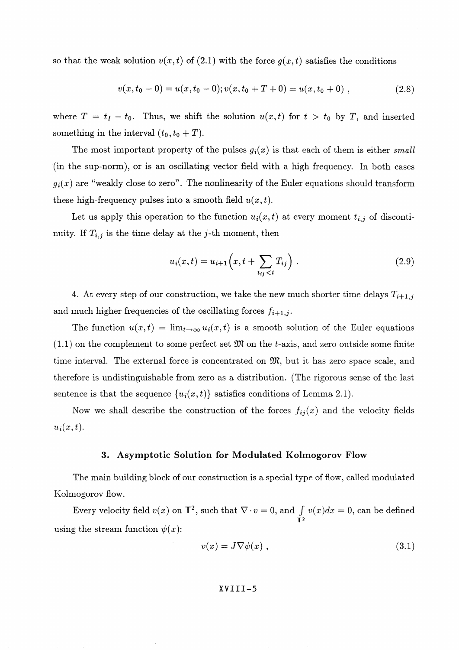so that the weak solution  $v(x,t)$  of (2.1) with the force  $g(x,t)$  satisfies the conditions

$$
v(x, t_0 - 0) = u(x, t_0 - 0); v(x, t_0 + T + 0) = u(x, t_0 + 0) ,
$$
\n(2.8)

where  $T = t_I - t_0$ . Thus, we shift the solution  $u(x,t)$  for  $t > t_0$  by T, and inserted something in the interval  $(t_0, t_0 + T)$ .

The most important property of the pulses  $g_i(x)$  is that each of them is either *small* (in the sup-norm), or is an oscillating vector field with a high frequency. In both cases  $g_i(x)$  are "weakly close to zero". The nonlinearity of the Euler equations should transform these high-frequency pulses into a smooth field  $u(x,t)$ .

Let us apply this operation to the function  $u_i(x,t)$  at every moment  $t_{i,j}$  of discontinuity. If  $T_{i,j}$  is the time delay at the *j*-th moment, then

$$
u_i(x,t) = u_{i+1}\left(x, t + \sum_{t_{ij} < t} T_{ij}\right). \tag{2.9}
$$

4. At every step of our construction, we take the new much shorter time delays  $T_{i+1,j}$ and much higher frequencies of the oscillating forces  $f_{i+1,j}$ .

The function  $u(x,t) = \lim_{t\to\infty} u_i(x,t)$  is a smooth solution of the Euler equations  $(1.1)$  on the complement to some perfect set  $\mathfrak{M}$  on the t-axis, and zero outside some finite time interval. The external force is concentrated on  $\mathfrak{M}$ , but it has zero space scale, and therefore is undistinguishable from zero as a distribution. (The rigorous sense of the last sentence is that the sequence  $\{u_i(x,t)\}\$  satisfies conditions of Lemma 2.1).

Now we shall describe the construction of the forces  $f_{ij}(x)$  and the velocity fields  $u_i(x,t)$ .

#### **3. Asymptotic Solution for Modulated Kolmogorov Flow**

The main building block of our construction is a special type of flow, called modulated Kolmogorov flow.

mogorov flow.<br>Every velocity field  $v(x)$  on  $\mathsf{T}^2$ , such that  $\nabla \cdot v = 0$ , and  $\int_{\mathsf{T}^2} v(x) dx = 0$ , can be defined using the stream function  $\psi(x)$ :

$$
v(x) = J \nabla \psi(x) , \qquad (3.1)
$$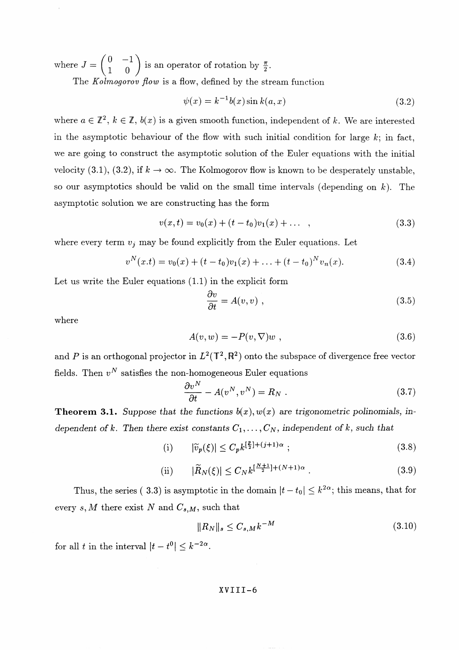where  $J = \begin{pmatrix} 0 & -1 \\ 1 & 0 \end{pmatrix}$  is an operator of rotation by  $\frac{\pi}{2}$ .

The *Kolmogorov flow* is a flow, defined by the stream function

$$
\psi(x) = k^{-1}b(x)\sin k(a, x) \tag{3.2}
$$

where  $a \in \mathbb{Z}^2$ ,  $k \in \mathbb{Z}$ ,  $b(x)$  is a given smooth function, independent of k. We are interested in the asymptotic behaviour of the flow with such initial condition for large  $k$ ; in fact, we are going to construct the asymptotic solution of the Euler equations with the initial velocity (3.1), (3.2), if  $k \to \infty$ . The Kolmogorov flow is known to be desperately unstable, so our asymptotics should be valid on the small time intervals (depending on *k).* The asymptotic solution we are constructing has the form

$$
v(x,t) = v_0(x) + (t - t_0)v_1(x) + \dots \quad , \tag{3.3}
$$

where every term  $v_j$  may be found explicitly from the Euler equations. Let

$$
v^{N}(x,t) = v_{0}(x) + (t - t_{0})v_{1}(x) + \ldots + (t - t_{0})^{N}v_{n}(x).
$$
\n(3.4)

Let us write the Euler equations (1.1) in the explicit form

$$
\frac{\partial v}{\partial t} = A(v, v) \tag{3.5}
$$

where

$$
A(v, w) = -P(v, \nabla)w \t{,}
$$
\t(3.6)

and P is an orthogonal projector in  $L^2(\mathbb{T}^2, \mathbb{R}^2)$  onto the subspace of divergence free vector fields. Then  $v^N$  satisfies the non-homogeneous Euler equation

$$
\frac{\partial v^N}{\partial t} - A(v^N, v^N) = R_N . \qquad (3.7)
$$

**Theorem 3.1.** Suppose that the functions  $b(x), w(x)$  are trigonometric polinomials, in*dependent of k. Then there exist constants*  $C_1, \ldots, C_N$ , independent of k, such that

$$
(i) \qquad |\tilde{v}_p(\xi)| \le C_p k^{\left[\frac{p}{2}\right] + (j+1)\alpha} ;\tag{3.8}
$$

(ii) 
$$
|\widetilde{R}_N(\xi)| \leq C_N k^{\left[\frac{N+1}{2}\right] + (N+1)\alpha}.
$$
 (3.9)

Thus, the series (**3.3**) is asymptotic in the domain  $|t - t_0| \leq k^{2\alpha}$ ; this means, that for every  $s, M$  there exist *N* and  $C_{s,M}$ , such that

$$
||R_N||_s \le C_{s,M} k^{-M} \tag{3.10}
$$

for all *t* in the interval  $|t - t^0| < k^{-2\alpha}$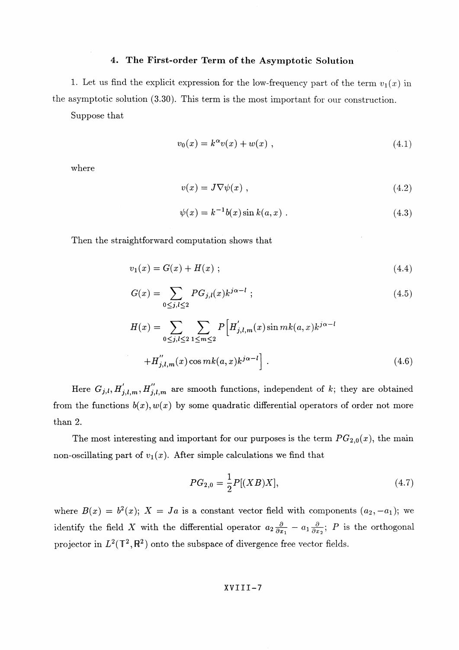#### **4. The First-order Term of the Asymptotic Solution**

1. Let us find the explicit expression for the low-frequency part of the term  $v_1(x)$  in the asymptotic solution (3.30). This term is the most important for our construction.

Suppose that

$$
v_0(x) = k^{\alpha} v(x) + w(x) , \qquad (4.1)
$$

where

$$
v(x) = J \nabla \psi(x) \tag{4.2}
$$

$$
\psi(x) = k^{-1}b(x)\sin k(a, x) .
$$
\n(4.3)

Then the straightforward computation shows that

$$
v_1(x) = G(x) + H(x) \tag{4.4}
$$

$$
G(x) = \sum_{0 \le j,l \le 2} PG_{j,l}(x) k^{j\alpha - l} ; \qquad (4.5)
$$

$$
H(x) = \sum_{0 \le j,l \le 2} \sum_{1 \le m \le 2} P\left[H'_{j,l,m}(x) \sin mk(a,x)k^{j\alpha-l} + H''_{j,l,m}(x) \cos mk(a,x)k^{j\alpha-l}\right].
$$
\n(4.6)

Here  $G_{j,l}, H'_{j,l,m}, H''_{j,l,m}$  are smooth functions, independent of k; they are obtained from the functions  $b(x), w(x)$  by some quadratic differential operators of order not more than 2.

The most interesting and important for our purposes is the term  $PG_{2,0}(x)$ , the main non-oscillating part of  $v_1(x)$ . After simple calculations we find that

$$
PG_{2,0} = \frac{1}{2}P[(XB)X],\tag{4.7}
$$

where  $B(x) = b^2(x)$ ;  $X = Ja$  is a constant vector field with components  $(a_2, -a_1)$ ; we identify the field X with the differential operator  $a_2 \frac{\partial}{\partial x_1} - a_1 \frac{\partial}{\partial x_2}$ ; P is the orthogonal projector in  $L^2(\mathbb{T}^2, \mathbb{R}^2)$  onto the subspace of divergence free vector fields.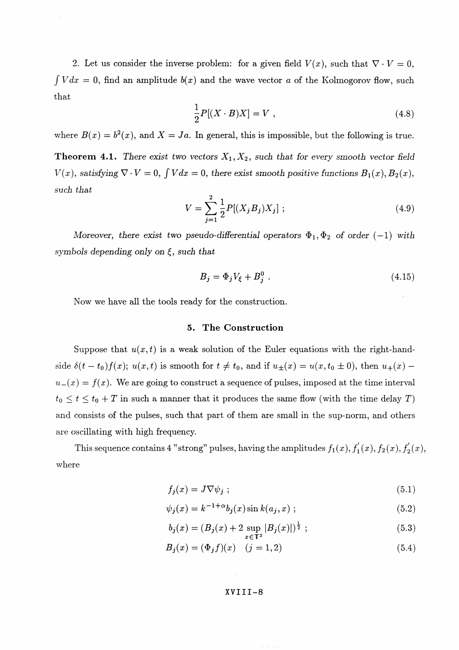2. Let us consider the inverse problem: for a given field  $V(x)$ , such that  $\nabla \cdot V = 0$ , *f Vdx =* 0, find an amplitude *b(x)* and the wave vector *a* of the Kolmogorov flow, such that

$$
\frac{1}{2}P[(X \cdot B)X] = V \tag{4.8}
$$

where  $B(x) = b^2(x)$ , and  $X = Ja$ . In general, this is impossible, but the following is true. **Theorem 4.1.** There exist two vectors  $X_1, X_2$ *, such that for every smooth vector field*  $V(x)$ , satisfying  $\nabla \cdot V = 0$ ,  $\int V dx = 0$ , there exist smooth positive functions  $B_1(x)$ ,  $B_2(x)$ , *such that*

$$
V = \sum_{j=1}^{2} \frac{1}{2} P[(X_j B_j) X_j]; \qquad (4.9)
$$

Moreover, there exist two pseudo-differential operators  $\Phi_1, \Phi_2$  of order (-1) with *symbols depending only on*  $\xi$ , such that

$$
B_j = \Phi_j V_{\xi} + B_i^0 \tag{4.15}
$$

Now we have all the tools ready for the construction.

#### **5. The Construction**

Suppose that  $u(x,t)$  is a weak solution of the Euler equations with the right-handside  $\delta(t - t_0) f(x)$ ;  $u(x, t)$  is smooth for  $t \neq t_0$ , and if  $u_{\pm}(x) = u(x, t_0 \pm 0)$ , then  $u_{+}(x)$  $u_{-}(x) = f(x)$ . We are going to construct a sequence of pulses, imposed at the time interval  $t_0 \leq t \leq t_0 + T$  in such a manner that it produces the same flow (with the time delay T) and consists of the pulses, such that part of them are small in the sup-norm, and others are oscillating with high frequency.

This sequence contains 4 "strong" pulses, having the amplitudes  $f_1(x)$ ,  $f'_1(x)$ ,  $f'_2(x)$ ,  $f'_2(x)$ , where

$$
f_j(x) = J \nabla \psi_j ; \qquad (5.1)
$$

$$
\psi_j(x) = k^{-1+\alpha} b_j(x) \sin k(a_j, x) ; \qquad (5.2)
$$

$$
b_j(x) = (B_j(x) + 2 \sup_{x \in \mathbb{T}^2} |B_j(x)|)^{\frac{1}{2}} ; \tag{5.3}
$$

$$
B_j(x) = (\Phi_j f)(x) \quad (j = 1, 2)
$$
\n(5.4)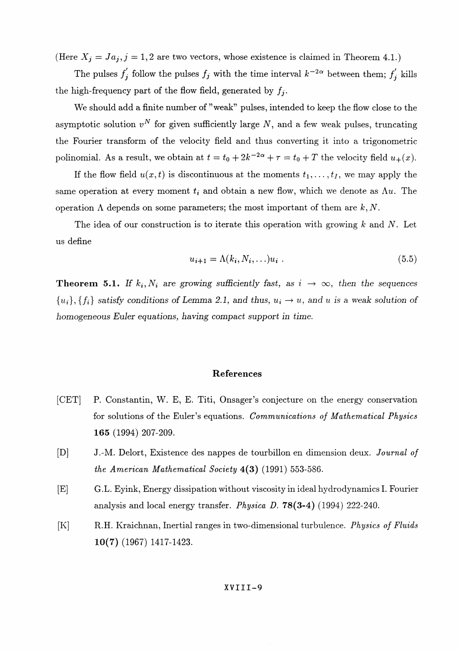(Here  $X_j = Ja_j$ ,  $j = 1,2$  are two vectors, whose existence is claimed in Theorem 4.1.)

The pulses  $f'_j$  follow the pulses  $f_j$  with the time interval  $k^{-2\alpha}$  between them;  $f'_j$  kills the high-frequency part of the flow field, generated by  $f_i$ .

We should add a finite number of "weak" pulses, intended to keep the flow close to the asymptotic solution  $v^N$  for given sufficiently large N, and a few weak pulses, truncating the Fourier transform of the velocity field and thus converting it into a trigonometric polinomial. As a result, we obtain at  $t = t_0 + 2k^{-2\alpha} + \tau = t_0 + T$  the velocity field  $u_+(x)$ .

If the flow field  $u(x,t)$  is discontinuous at the moments  $t_1,\ldots,t_I$ , we may apply the same operation at every moment  $t_i$  and obtain a new flow, which we denote as  $\Lambda u$ . The operation  $\Lambda$  depends on some parameters; the most important of them are  $k, N$ .

The idea of our construction is to iterate this operation with growing *k* and *N.* Let us define

$$
u_{i+1} = \Lambda(k_i, N_i, \ldots) u_i \tag{5.5}
$$

**Theorem 5.1.** If  $k_i, N_i$  are growing sufficiently fast, as  $i \rightarrow \infty$ , then the sequences  ${u_i}$ ,  ${f_i}$  satisfy conditions of Lemma 2.1, and thus,  $u_i \rightarrow u$ , and u is a weak solution of *homogeneous Euler equations, having compact support in time.*

#### **References**

- [GET] P. Constantin, W. E, E. Titi, Onsager's conjecture on the energy conservation for solutions of the Euler's equations. *Communications of Mathematical Physics* **165** (1994) 207-209.
- [D] J.-M. Delort, Existence des nappes de tourbillon en dimension deux. *Journal of the American Mathematical Society* **4(3)** (1991) 553-586.
- [E] G.L. Eyink, Energy dissipation without viscosity in ideal hydrodynamics I. Fourier analysis and local energy transfer. *Physica* D. 78(3-4) (1994) 222-240.
- [K] R.H. Kraichnan, Inertial ranges in two-dimensional turbulence. *Physics of Fluids* **10(7)** (1967) 1417-1423.